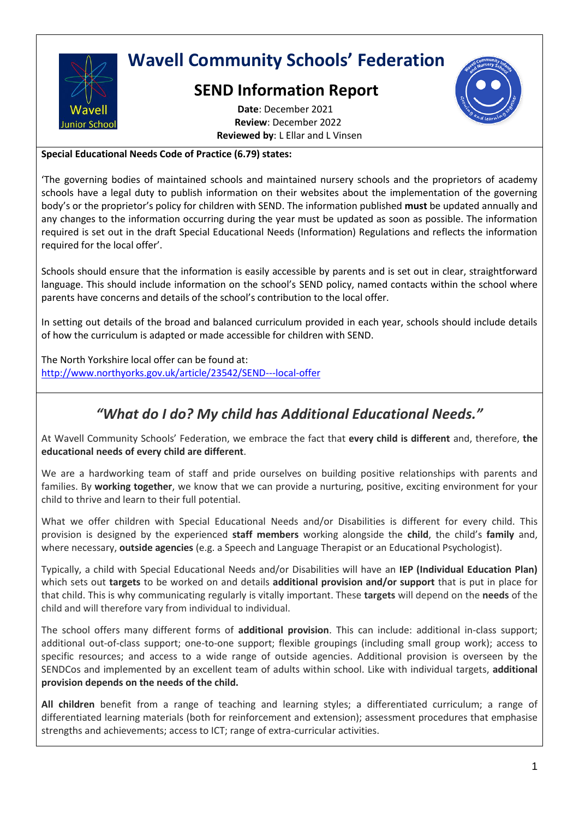

## **Wavell Community Schools' Federation**

## **SEND Information Report**



**Date**: December 2021 **Review**: December 2022 **Reviewed by**: L Ellar and L Vinsen

**Special Educational Needs Code of Practice (6.79) states:**

'The governing bodies of maintained schools and maintained nursery schools and the proprietors of academy schools have a legal duty to publish information on their websites about the implementation of the governing body's or the proprietor's policy for children with SEND. The information published **must** be updated annually and any changes to the information occurring during the year must be updated as soon as possible. The information required is set out in the draft Special Educational Needs (Information) Regulations and reflects the information required for the local offer'.

Schools should ensure that the information is easily accessible by parents and is set out in clear, straightforward language. This should include information on the school's SEND policy, named contacts within the school where parents have concerns and details of the school's contribution to the local offer.

In setting out details of the broad and balanced curriculum provided in each year, schools should include details of how the curriculum is adapted or made accessible for children with SEND.

The North Yorkshire local offer can be found at: <http://www.northyorks.gov.uk/article/23542/SEND---local-offer>

## *"What do I do? My child has Additional Educational Needs."*

At Wavell Community Schools' Federation, we embrace the fact that **every child is different** and, therefore, **the educational needs of every child are different**.

We are a hardworking team of staff and pride ourselves on building positive relationships with parents and families. By **working together**, we know that we can provide a nurturing, positive, exciting environment for your child to thrive and learn to their full potential.

What we offer children with Special Educational Needs and/or Disabilities is different for every child. This provision is designed by the experienced **staff members** working alongside the **child**, the child's **family** and, where necessary, **outside agencies** (e.g. a Speech and Language Therapist or an Educational Psychologist).

Typically, a child with Special Educational Needs and/or Disabilities will have an **IEP (Individual Education Plan)** which sets out **targets** to be worked on and details **additional provision and/or support** that is put in place for that child. This is why communicating regularly is vitally important. These **targets** will depend on the **needs** of the child and will therefore vary from individual to individual.

The school offers many different forms of **additional provision**. This can include: additional in-class support; additional out-of-class support; one-to-one support; flexible groupings (including small group work); access to specific resources; and access to a wide range of outside agencies. Additional provision is overseen by the SENDCos and implemented by an excellent team of adults within school. Like with individual targets, **additional provision depends on the needs of the child.**

**All children** benefit from a range of teaching and learning styles; a differentiated curriculum; a range of differentiated learning materials (both for reinforcement and extension); assessment procedures that emphasise strengths and achievements; access to ICT; range of extra-curricular activities.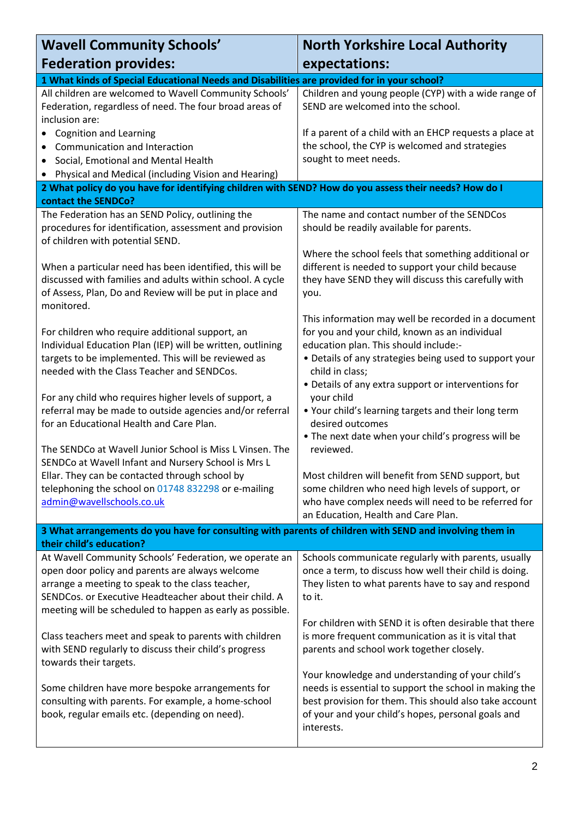| <b>Wavell Community Schools'</b>                                                                                                                                                                                                                                                     | <b>North Yorkshire Local Authority</b>                                                                                                                                                                                                   |
|--------------------------------------------------------------------------------------------------------------------------------------------------------------------------------------------------------------------------------------------------------------------------------------|------------------------------------------------------------------------------------------------------------------------------------------------------------------------------------------------------------------------------------------|
| <b>Federation provides:</b>                                                                                                                                                                                                                                                          | expectations:                                                                                                                                                                                                                            |
| 1 What kinds of Special Educational Needs and Disabilities are provided for in your school?                                                                                                                                                                                          |                                                                                                                                                                                                                                          |
| All children are welcomed to Wavell Community Schools'<br>Federation, regardless of need. The four broad areas of<br>inclusion are:                                                                                                                                                  | Children and young people (CYP) with a wide range of<br>SEND are welcomed into the school.                                                                                                                                               |
| <b>Cognition and Learning</b><br>$\bullet$<br>Communication and Interaction<br>Social, Emotional and Mental Health<br>٠                                                                                                                                                              | If a parent of a child with an EHCP requests a place at<br>the school, the CYP is welcomed and strategies<br>sought to meet needs.                                                                                                       |
| • Physical and Medical (including Vision and Hearing)                                                                                                                                                                                                                                |                                                                                                                                                                                                                                          |
| 2 What policy do you have for identifying children with SEND? How do you assess their needs? How do I                                                                                                                                                                                |                                                                                                                                                                                                                                          |
| contact the SENDCo?                                                                                                                                                                                                                                                                  |                                                                                                                                                                                                                                          |
| The Federation has an SEND Policy, outlining the<br>procedures for identification, assessment and provision<br>of children with potential SEND.                                                                                                                                      | The name and contact number of the SENDCos<br>should be readily available for parents.                                                                                                                                                   |
| When a particular need has been identified, this will be                                                                                                                                                                                                                             | Where the school feels that something additional or<br>different is needed to support your child because                                                                                                                                 |
| discussed with families and adults within school. A cycle<br>of Assess, Plan, Do and Review will be put in place and<br>monitored.                                                                                                                                                   | they have SEND they will discuss this carefully with<br>you.                                                                                                                                                                             |
| For children who require additional support, an                                                                                                                                                                                                                                      | This information may well be recorded in a document<br>for you and your child, known as an individual                                                                                                                                    |
| Individual Education Plan (IEP) will be written, outlining<br>targets to be implemented. This will be reviewed as<br>needed with the Class Teacher and SENDCos.                                                                                                                      | education plan. This should include:-<br>• Details of any strategies being used to support your<br>child in class;                                                                                                                       |
| For any child who requires higher levels of support, a<br>referral may be made to outside agencies and/or referral<br>for an Educational Health and Care Plan.                                                                                                                       | • Details of any extra support or interventions for<br>your child<br>. Your child's learning targets and their long term<br>desired outcomes                                                                                             |
| The SENDCo at Wavell Junior School is Miss L Vinsen. The<br>SENDCo at Wavell Infant and Nursery School is Mrs L                                                                                                                                                                      | . The next date when your child's progress will be<br>reviewed.                                                                                                                                                                          |
| Ellar. They can be contacted through school by                                                                                                                                                                                                                                       | Most children will benefit from SEND support, but                                                                                                                                                                                        |
| telephoning the school on 01748 832298 or e-mailing<br>admin@wavellschools.co.uk                                                                                                                                                                                                     | some children who need high levels of support, or<br>who have complex needs will need to be referred for<br>an Education, Health and Care Plan.                                                                                          |
| 3 What arrangements do you have for consulting with parents of children with SEND and involving them in                                                                                                                                                                              |                                                                                                                                                                                                                                          |
| their child's education?                                                                                                                                                                                                                                                             |                                                                                                                                                                                                                                          |
| At Wavell Community Schools' Federation, we operate an<br>open door policy and parents are always welcome<br>arrange a meeting to speak to the class teacher,<br>SENDCos. or Executive Headteacher about their child. A<br>meeting will be scheduled to happen as early as possible. | Schools communicate regularly with parents, usually<br>once a term, to discuss how well their child is doing.<br>They listen to what parents have to say and respond<br>to it.                                                           |
| Class teachers meet and speak to parents with children<br>with SEND regularly to discuss their child's progress<br>towards their targets.                                                                                                                                            | For children with SEND it is often desirable that there<br>is more frequent communication as it is vital that<br>parents and school work together closely.                                                                               |
| Some children have more bespoke arrangements for<br>consulting with parents. For example, a home-school<br>book, regular emails etc. (depending on need).                                                                                                                            | Your knowledge and understanding of your child's<br>needs is essential to support the school in making the<br>best provision for them. This should also take account<br>of your and your child's hopes, personal goals and<br>interests. |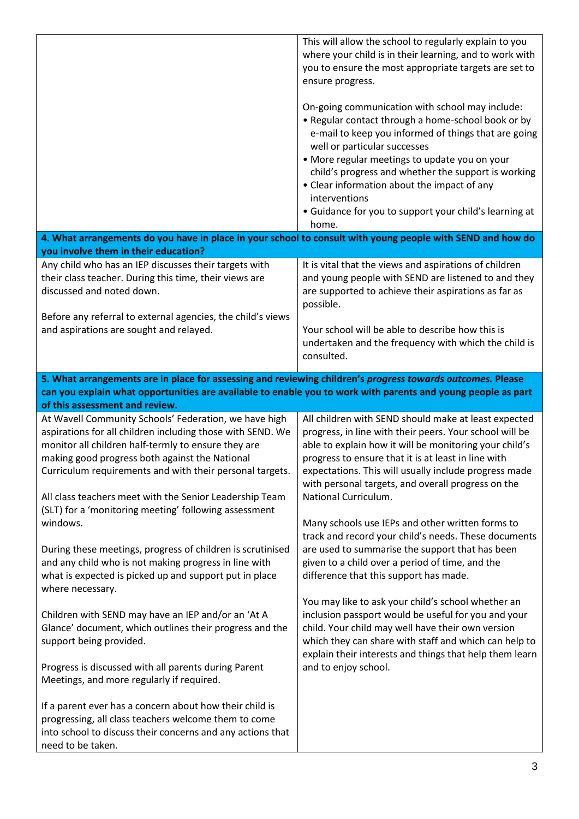|                                                                                                                                                                                                                                                                                                                                                                                                              | This will allow the school to regularly explain to you<br>where your child is in their learning, and to work with<br>you to ensure the most appropriate targets are set to<br>ensure progress.<br>On-going communication with school may include:<br>• Regular contact through a home-school book or by<br>e-mail to keep you informed of things that are going<br>well or particular successes<br>• More regular meetings to update you on your<br>child's progress and whether the support is working<br>• Clear information about the impact of any<br>interventions |
|--------------------------------------------------------------------------------------------------------------------------------------------------------------------------------------------------------------------------------------------------------------------------------------------------------------------------------------------------------------------------------------------------------------|-------------------------------------------------------------------------------------------------------------------------------------------------------------------------------------------------------------------------------------------------------------------------------------------------------------------------------------------------------------------------------------------------------------------------------------------------------------------------------------------------------------------------------------------------------------------------|
|                                                                                                                                                                                                                                                                                                                                                                                                              | • Guidance for you to support your child's learning at<br>home.                                                                                                                                                                                                                                                                                                                                                                                                                                                                                                         |
| 4. What arrangements do you have in place in your school to consult with young people with SEND and how do<br>you involve them in their education?                                                                                                                                                                                                                                                           |                                                                                                                                                                                                                                                                                                                                                                                                                                                                                                                                                                         |
| Any child who has an IEP discusses their targets with<br>their class teacher. During this time, their views are<br>discussed and noted down.<br>Before any referral to external agencies, the child's views<br>and aspirations are sought and relayed.                                                                                                                                                       | It is vital that the views and aspirations of children<br>and young people with SEND are listened to and they<br>are supported to achieve their aspirations as far as<br>possible.<br>Your school will be able to describe how this is                                                                                                                                                                                                                                                                                                                                  |
|                                                                                                                                                                                                                                                                                                                                                                                                              | undertaken and the frequency with which the child is<br>consulted.                                                                                                                                                                                                                                                                                                                                                                                                                                                                                                      |
| 5. What arrangements are in place for assessing and reviewing children's progress towards outcomes. Please                                                                                                                                                                                                                                                                                                   |                                                                                                                                                                                                                                                                                                                                                                                                                                                                                                                                                                         |
| can you explain what opportunities are available to enable you to work with parents and young people as part<br>of this assessment and review.                                                                                                                                                                                                                                                               |                                                                                                                                                                                                                                                                                                                                                                                                                                                                                                                                                                         |
| At Wavell Community Schools' Federation, we have high<br>aspirations for all children including those with SEND. We<br>monitor all children half-termly to ensure they are<br>making good progress both against the National<br>Curriculum requirements and with their personal targets.<br>All class teachers meet with the Senior Leadership Team<br>(SLT) for a 'monitoring meeting' following assessment | All children with SEND should make at least expected<br>progress, in line with their peers. Your school will be<br>able to explain how it will be monitoring your child's<br>progress to ensure that it is at least in line with<br>expectations. This will usually include progress made<br>with personal targets, and overall progress on the<br>National Curriculum.                                                                                                                                                                                                 |
| windows.<br>During these meetings, progress of children is scrutinised<br>and any child who is not making progress in line with<br>what is expected is picked up and support put in place<br>where necessary.                                                                                                                                                                                                | Many schools use IEPs and other written forms to<br>track and record your child's needs. These documents<br>are used to summarise the support that has been<br>given to a child over a period of time, and the<br>difference that this support has made.                                                                                                                                                                                                                                                                                                                |
| Children with SEND may have an IEP and/or an 'At A<br>Glance' document, which outlines their progress and the<br>support being provided.<br>Progress is discussed with all parents during Parent                                                                                                                                                                                                             | You may like to ask your child's school whether an<br>inclusion passport would be useful for you and your<br>child. Your child may well have their own version<br>which they can share with staff and which can help to<br>explain their interests and things that help them learn<br>and to enjoy school.                                                                                                                                                                                                                                                              |
| Meetings, and more regularly if required.<br>If a parent ever has a concern about how their child is<br>progressing, all class teachers welcome them to come<br>into school to discuss their concerns and any actions that<br>need to be taken.                                                                                                                                                              |                                                                                                                                                                                                                                                                                                                                                                                                                                                                                                                                                                         |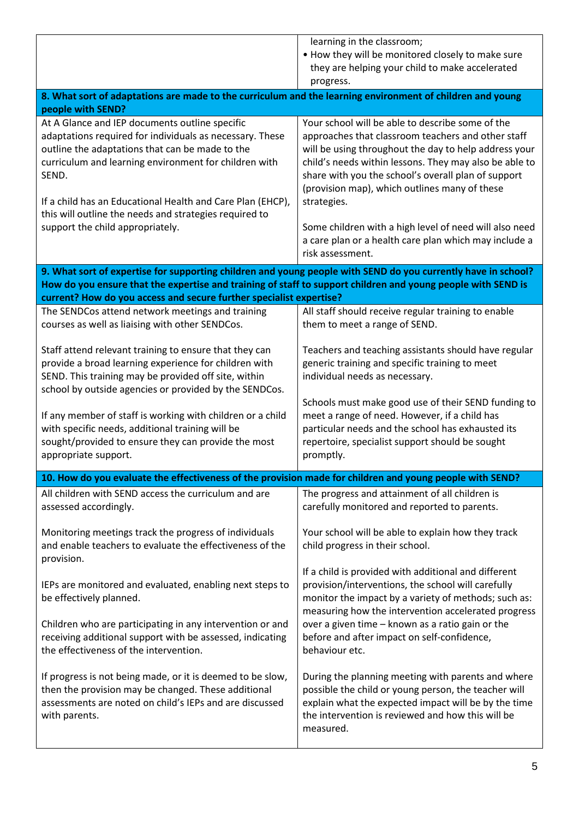|                                                                                                                                                                                                                                                                                                                                                                                             | learning in the classroom;<br>. How they will be monitored closely to make sure<br>they are helping your child to make accelerated<br>progress.                                                                                                                                                                                                                                                                                                                                         |  |
|---------------------------------------------------------------------------------------------------------------------------------------------------------------------------------------------------------------------------------------------------------------------------------------------------------------------------------------------------------------------------------------------|-----------------------------------------------------------------------------------------------------------------------------------------------------------------------------------------------------------------------------------------------------------------------------------------------------------------------------------------------------------------------------------------------------------------------------------------------------------------------------------------|--|
| 8. What sort of adaptations are made to the curriculum and the learning environment of children and young<br>people with SEND?                                                                                                                                                                                                                                                              |                                                                                                                                                                                                                                                                                                                                                                                                                                                                                         |  |
| At A Glance and IEP documents outline specific<br>adaptations required for individuals as necessary. These<br>outline the adaptations that can be made to the<br>curriculum and learning environment for children with<br>SEND.<br>If a child has an Educational Health and Care Plan (EHCP),<br>this will outline the needs and strategies required to<br>support the child appropriately. | Your school will be able to describe some of the<br>approaches that classroom teachers and other staff<br>will be using throughout the day to help address your<br>child's needs within lessons. They may also be able to<br>share with you the school's overall plan of support<br>(provision map), which outlines many of these<br>strategies.<br>Some children with a high level of need will also need<br>a care plan or a health care plan which may include a<br>risk assessment. |  |
| 9. What sort of expertise for supporting children and young people with SEND do you currently have in school?<br>How do you ensure that the expertise and training of staff to support children and young people with SEND is                                                                                                                                                               |                                                                                                                                                                                                                                                                                                                                                                                                                                                                                         |  |
| current? How do you access and secure further specialist expertise?                                                                                                                                                                                                                                                                                                                         |                                                                                                                                                                                                                                                                                                                                                                                                                                                                                         |  |
| The SENDCos attend network meetings and training<br>courses as well as liaising with other SENDCos.                                                                                                                                                                                                                                                                                         | All staff should receive regular training to enable<br>them to meet a range of SEND.                                                                                                                                                                                                                                                                                                                                                                                                    |  |
| Staff attend relevant training to ensure that they can<br>provide a broad learning experience for children with<br>SEND. This training may be provided off site, within<br>school by outside agencies or provided by the SENDCos.                                                                                                                                                           | Teachers and teaching assistants should have regular<br>generic training and specific training to meet<br>individual needs as necessary.                                                                                                                                                                                                                                                                                                                                                |  |
| If any member of staff is working with children or a child<br>with specific needs, additional training will be<br>sought/provided to ensure they can provide the most<br>appropriate support.                                                                                                                                                                                               | Schools must make good use of their SEND funding to<br>meet a range of need. However, if a child has<br>particular needs and the school has exhausted its<br>repertoire, specialist support should be sought<br>promptly.                                                                                                                                                                                                                                                               |  |
| 10. How do you evaluate the effectiveness of the provision made for children and young people with SEND?                                                                                                                                                                                                                                                                                    |                                                                                                                                                                                                                                                                                                                                                                                                                                                                                         |  |
| All children with SEND access the curriculum and are<br>assessed accordingly.                                                                                                                                                                                                                                                                                                               | The progress and attainment of all children is<br>carefully monitored and reported to parents.                                                                                                                                                                                                                                                                                                                                                                                          |  |
| Monitoring meetings track the progress of individuals<br>and enable teachers to evaluate the effectiveness of the<br>provision.                                                                                                                                                                                                                                                             | Your school will be able to explain how they track<br>child progress in their school.                                                                                                                                                                                                                                                                                                                                                                                                   |  |
| IEPs are monitored and evaluated, enabling next steps to<br>be effectively planned.                                                                                                                                                                                                                                                                                                         | If a child is provided with additional and different<br>provision/interventions, the school will carefully<br>monitor the impact by a variety of methods; such as:<br>measuring how the intervention accelerated progress                                                                                                                                                                                                                                                               |  |
| Children who are participating in any intervention or and<br>receiving additional support with be assessed, indicating<br>the effectiveness of the intervention.                                                                                                                                                                                                                            | over a given time - known as a ratio gain or the<br>before and after impact on self-confidence,<br>behaviour etc.                                                                                                                                                                                                                                                                                                                                                                       |  |
| If progress is not being made, or it is deemed to be slow,<br>then the provision may be changed. These additional<br>assessments are noted on child's IEPs and are discussed<br>with parents.                                                                                                                                                                                               | During the planning meeting with parents and where<br>possible the child or young person, the teacher will<br>explain what the expected impact will be by the time<br>the intervention is reviewed and how this will be<br>measured.                                                                                                                                                                                                                                                    |  |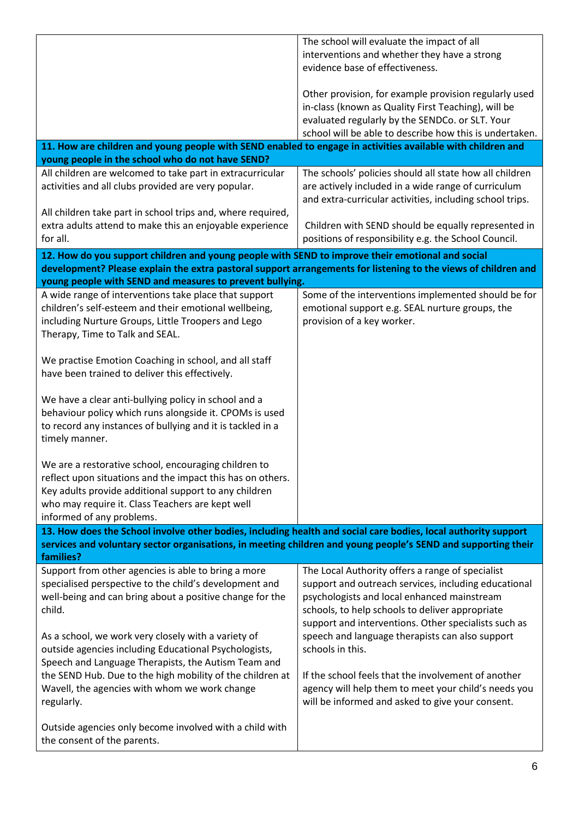|                                                                                                                                                                                                                                                              | The school will evaluate the impact of all<br>interventions and whether they have a strong<br>evidence base of effectiveness.                                                                                                                                                                                         |  |
|--------------------------------------------------------------------------------------------------------------------------------------------------------------------------------------------------------------------------------------------------------------|-----------------------------------------------------------------------------------------------------------------------------------------------------------------------------------------------------------------------------------------------------------------------------------------------------------------------|--|
|                                                                                                                                                                                                                                                              | Other provision, for example provision regularly used<br>in-class (known as Quality First Teaching), will be<br>evaluated regularly by the SENDCo. or SLT. Your<br>school will be able to describe how this is undertaken.                                                                                            |  |
| 11. How are children and young people with SEND enabled to engage in activities available with children and<br>young people in the school who do not have SEND?                                                                                              |                                                                                                                                                                                                                                                                                                                       |  |
| All children are welcomed to take part in extracurricular<br>activities and all clubs provided are very popular.                                                                                                                                             | The schools' policies should all state how all children<br>are actively included in a wide range of curriculum<br>and extra-curricular activities, including school trips.                                                                                                                                            |  |
| All children take part in school trips and, where required,<br>extra adults attend to make this an enjoyable experience<br>for all.                                                                                                                          | Children with SEND should be equally represented in<br>positions of responsibility e.g. the School Council.                                                                                                                                                                                                           |  |
| 12. How do you support children and young people with SEND to improve their emotional and social<br>development? Please explain the extra pastoral support arrangements for listening to the views of children and                                           |                                                                                                                                                                                                                                                                                                                       |  |
| young people with SEND and measures to prevent bullying.                                                                                                                                                                                                     |                                                                                                                                                                                                                                                                                                                       |  |
| A wide range of interventions take place that support<br>children's self-esteem and their emotional wellbeing,<br>including Nurture Groups, Little Troopers and Lego<br>Therapy, Time to Talk and SEAL.                                                      | Some of the interventions implemented should be for<br>emotional support e.g. SEAL nurture groups, the<br>provision of a key worker.                                                                                                                                                                                  |  |
| We practise Emotion Coaching in school, and all staff<br>have been trained to deliver this effectively.                                                                                                                                                      |                                                                                                                                                                                                                                                                                                                       |  |
| We have a clear anti-bullying policy in school and a<br>behaviour policy which runs alongside it. CPOMs is used<br>to record any instances of bullying and it is tackled in a<br>timely manner.                                                              |                                                                                                                                                                                                                                                                                                                       |  |
| We are a restorative school, encouraging children to<br>reflect upon situations and the impact this has on others.<br>Key adults provide additional support to any children<br>who may require it. Class Teachers are kept well<br>informed of any problems. |                                                                                                                                                                                                                                                                                                                       |  |
| 13. How does the School involve other bodies, including health and social care bodies, local authority support<br>services and voluntary sector organisations, in meeting children and young people's SEND and supporting their<br>families?                 |                                                                                                                                                                                                                                                                                                                       |  |
| Support from other agencies is able to bring a more<br>specialised perspective to the child's development and<br>well-being and can bring about a positive change for the<br>child.<br>As a school, we work very closely with a variety of                   | The Local Authority offers a range of specialist<br>support and outreach services, including educational<br>psychologists and local enhanced mainstream<br>schools, to help schools to deliver appropriate<br>support and interventions. Other specialists such as<br>speech and language therapists can also support |  |
| outside agencies including Educational Psychologists,<br>Speech and Language Therapists, the Autism Team and<br>the SEND Hub. Due to the high mobility of the children at                                                                                    | schools in this.<br>If the school feels that the involvement of another                                                                                                                                                                                                                                               |  |
| Wavell, the agencies with whom we work change<br>regularly.                                                                                                                                                                                                  | agency will help them to meet your child's needs you<br>will be informed and asked to give your consent.                                                                                                                                                                                                              |  |
| Outside agencies only become involved with a child with<br>the consent of the parents.                                                                                                                                                                       |                                                                                                                                                                                                                                                                                                                       |  |